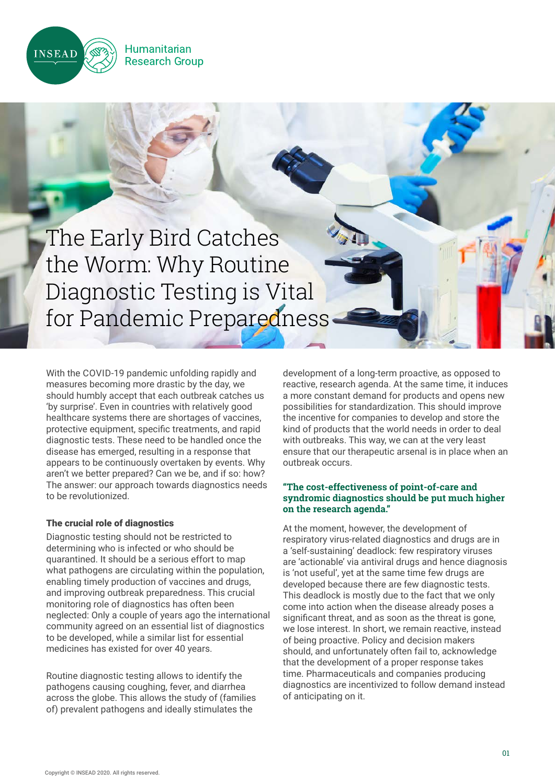

The Early Bird Catches the Worm: Why Routine Diagnostic Testing is Vital for Pandemic Preparedness

**Humanitarian** 

**Research Group** 

With the COVID-19 pandemic unfolding rapidly and measures becoming more drastic by the day, we should humbly accept that each outbreak catches us 'by surprise'. Even in countries with relatively good healthcare systems there are shortages of vaccines, protective equipment, specific treatments, and rapid diagnostic tests. These need to be handled once the disease has emerged, resulting in a response that appears to be continuously overtaken by events. Why aren't we better prepared? Can we be, and if so: how? The answer: our approach towards diagnostics needs to be revolutionized.

## The crucial role of diagnostics

Diagnostic testing should not be restricted to determining who is infected or who should be quarantined. It should be a serious effort to map what pathogens are circulating within the population, enabling timely production of vaccines and drugs, and improving outbreak preparedness. This crucial monitoring role of diagnostics has often been neglected: Only a couple of years ago the international community agreed on an essential list of diagnostics to be developed, while a similar list for essential medicines has existed for over 40 years.

Routine diagnostic testing allows to identify the pathogens causing coughing, fever, and diarrhea across the globe. This allows the study of (families of) prevalent pathogens and ideally stimulates the

development of a long-term proactive, as opposed to reactive, research agenda. At the same time, it induces a more constant demand for products and opens new possibilities for standardization. This should improve the incentive for companies to develop and store the kind of products that the world needs in order to deal with outbreaks. This way, we can at the very least ensure that our therapeutic arsenal is in place when an outbreak occurs.

## **"The cost-effectiveness of point-of-care and syndromic diagnostics should be put much higher on the research agenda."**

At the moment, however, the development of respiratory virus-related diagnostics and drugs are in a 'self-sustaining' deadlock: few respiratory viruses are 'actionable' via antiviral drugs and hence diagnosis is 'not useful', yet at the same time few drugs are developed because there are few diagnostic tests. This deadlock is mostly due to the fact that we only come into action when the disease already poses a significant threat, and as soon as the threat is gone, we lose interest. In short, we remain reactive, instead of being proactive. Policy and decision makers should, and unfortunately often fail to, acknowledge that the development of a proper response takes time. Pharmaceuticals and companies producing diagnostics are incentivized to follow demand instead of anticipating on it.